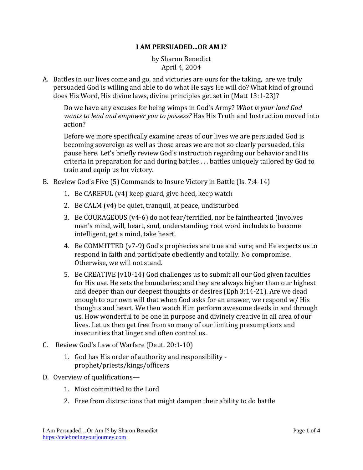## **I AM PERSUADED...OR AM I?**

by Sharon Benedict April 4, 2004

A. Battles in our lives come and go, and victories are ours for the taking, are we truly persuaded God is willing and able to do what He says He will do? What kind of ground does His Word, His divine laws, divine principles get set in (Matt 13:1-23)?

Do we have any excuses for being wimps in God's Army? *What is your land God wants to lead and empower you to possess?* Has His Truth and Instruction moved into action?

Before we more specifically examine areas of our lives we are persuaded God is becoming sovereign as well as those areas we are not so clearly persuaded, this pause here. Let's briefly review God's instruction regarding our behavior and His criteria in preparation for and during battles . . . battles uniquely tailored by God to train and equip us for victory.

- B. Review God's Five (5) Commands to Insure Victory in Battle (Is. 7:4-14)
	- 1. Be CAREFUL (v4) keep guard, give heed, keep watch
	- 2. Be CALM (v4) be quiet, tranquil, at peace, undisturbed
	- 3. Be COURAGEOUS (v4-6) do not fear/terrified, nor be fainthearted (involves man's mind, will, heart, soul, understanding; root word includes to become intelligent, get a mind, take heart.
	- 4. Be COMMITTED (v7-9) God's prophecies are true and sure; and He expects us to respond in faith and participate obediently and totally. No compromise. Otherwise, we will not stand.
	- 5. Be CREATIVE (v10-14) God challenges us to submit all our God given faculties for His use. He sets the boundaries; and they are always higher than our highest and deeper than our deepest thoughts or desires (Eph 3:14-21). Are we dead enough to our own will that when God asks for an answer, we respond w/ His thoughts and heart. We then watch Him perform awesome deeds in and through us. How wonderful to be one in purpose and divinely creative in all area of our lives. Let us then get free from so many of our limiting presumptions and insecurities that linger and often control us.
- C. Review God's Law of Warfare (Deut. 20:1-10)
	- 1. God has His order of authority and responsibility prophet/priests/kings/officers
- D. Overview of qualifications—
	- 1. Most committed to the Lord
	- 2. Free from distractions that might dampen their ability to do battle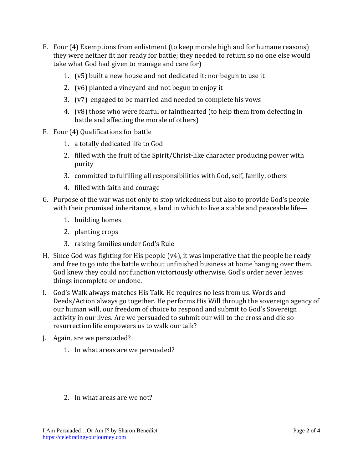- E. Four (4) Exemptions from enlistment (to keep morale high and for humane reasons) they were neither fit nor ready for battle; they needed to return so no one else would take what God had given to manage and care for)
	- 1. (v5) built a new house and not dedicated it; nor begun to use it
	- 2. (v6) planted a vineyard and not begun to enjoy it
	- 3. (v7) engaged to be married and needed to complete his vows
	- 4. (v8) those who were fearful or fainthearted (to help them from defecting in battle and affecting the morale of others)
- F. Four (4) Qualifications for battle
	- 1. a totally dedicated life to God
	- 2. filled with the fruit of the Spirit/Christ-like character producing power with purity
	- 3. committed to fulfilling all responsibilities with God, self, family, others
	- 4. filled with faith and courage
- G. Purpose of the war was not only to stop wickedness but also to provide God's people with their promised inheritance, a land in which to live a stable and peaceable life—
	- 1. building homes
	- 2. planting crops
	- 3. raising families under God's Rule
- H. Since God was fighting for His people (v4), it was imperative that the people be ready and free to go into the battle without unfinished business at home hanging over them. God knew they could not function victoriously otherwise. God's order never leaves things incomplete or undone.
- I. God's Walk always matches His Talk. He requires no less from us. Words and Deeds/Action always go together. He performs His Will through the sovereign agency of our human will, our freedom of choice to respond and submit to God's Sovereign activity in our lives. Are we persuaded to submit our will to the cross and die so resurrection life empowers us to walk our talk?
- J. Again, are we persuaded?
	- 1. In what areas are we persuaded?
	- 2. In what areas are we not?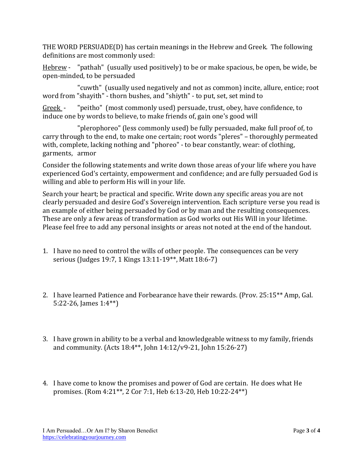THE WORD PERSUADE(D) has certain meanings in the Hebrew and Greek. The following definitions are most commonly used:

Hebrew - "pathah" (usually used positively) to be or make spacious, be open, be wide, be open-minded, to be persuaded

"cuwth" (usually used negatively and not as common) incite, allure, entice; root word from "shayith" - thorn bushes, and "shiyth" - to put, set, set mind to

Greek - "peitho" (most commonly used) persuade, trust, obey, have confidence, to induce one by words to believe, to make friends of, gain one's good will

"plerophoreo" (less commonly used) be fully persuaded, make full proof of, to carry through to the end, to make one certain; root words "pleres" – thoroughly permeated with, complete, lacking nothing and "phoreo" - to bear constantly, wear: of clothing, garments, armor

Consider the following statements and write down those areas of your life where you have experienced God's certainty, empowerment and confidence; and are fully persuaded God is willing and able to perform His will in your life.

Search your heart; be practical and specific. Write down any specific areas you are not clearly persuaded and desire God's Sovereign intervention. Each scripture verse you read is an example of either being persuaded by God or by man and the resulting consequences. These are only a few areas of transformation as God works out His Will in your lifetime. Please feel free to add any personal insights or areas not noted at the end of the handout.

- 1. I have no need to control the wills of other people. The consequences can be very serious (Judges 19:7, 1 Kings 13:11-19\*\*, Matt 18:6-7)
- 2. I have learned Patience and Forbearance have their rewards. (Prov. 25:15\*\* Amp, Gal. 5:22-26, James 1:4\*\*)
- 3. I have grown in ability to be a verbal and knowledgeable witness to my family, friends and community. (Acts 18:4\*\*, John 14:12/v9-21, John 15:26-27)
- 4. I have come to know the promises and power of God are certain. He does what He promises. (Rom 4:21\*\*, 2 Cor 7:1, Heb 6:13-20, Heb 10:22-24\*\*)